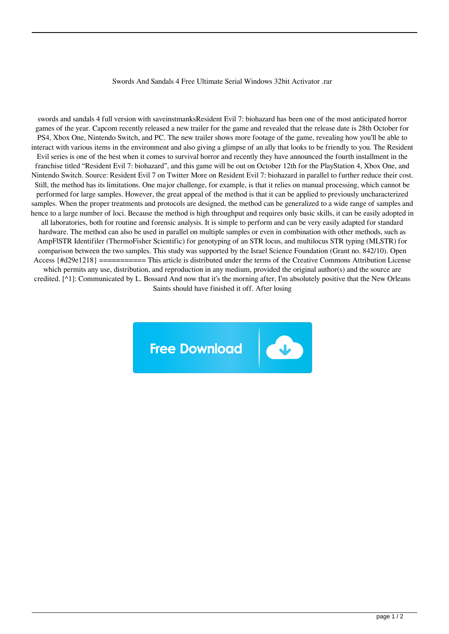## Swords And Sandals 4 Free Ultimate Serial Windows 32bit Activator .rar

swords and sandals 4 full version with saveinstmanksResident Evil 7: biohazard has been one of the most anticipated horror games of the year. Capcom recently released a new trailer for the game and revealed that the release date is 28th October for PS4, Xbox One, Nintendo Switch, and PC. The new trailer shows more footage of the game, revealing how you'll be able to interact with various items in the environment and also giving a glimpse of an ally that looks to be friendly to you. The Resident Evil series is one of the best when it comes to survival horror and recently they have announced the fourth installment in the franchise titled "Resident Evil 7: biohazard", and this game will be out on October 12th for the PlayStation 4, Xbox One, and Nintendo Switch. Source: Resident Evil 7 on Twitter More on Resident Evil 7: biohazard in parallel to further reduce their cost. Still, the method has its limitations. One major challenge, for example, is that it relies on manual processing, which cannot be performed for large samples. However, the great appeal of the method is that it can be applied to previously uncharacterized samples. When the proper treatments and protocols are designed, the method can be generalized to a wide range of samples and hence to a large number of loci. Because the method is high throughput and requires only basic skills, it can be easily adopted in all laboratories, both for routine and forensic analysis. It is simple to perform and can be very easily adapted for standard hardware. The method can also be used in parallel on multiple samples or even in combination with other methods, such as AmpFlSTR Identifiler (ThermoFisher Scientific) for genotyping of an STR locus, and multilocus STR typing (MLSTR) for comparison between the two samples. This study was supported by the Israel Science Foundation (Grant no. 842/10). Open Access {#d29e1218} =========== This article is distributed under the terms of the Creative Commons Attribution License which permits any use, distribution, and reproduction in any medium, provided the original author(s) and the source are credited. [^1]: Communicated by L. Bossard And now that it's the morning after, I'm absolutely positive that the New Orleans Saints should have finished it off. After losing

**Free Download**